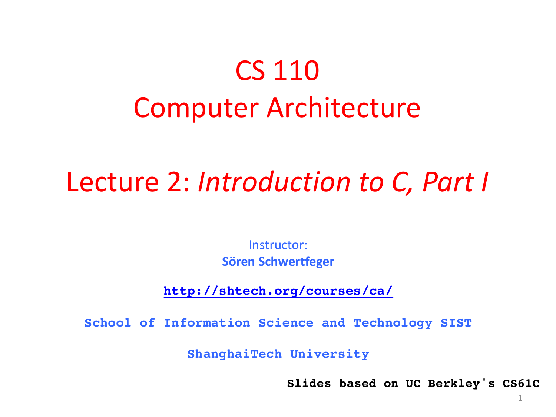#### CS 110 Computer Architecture

#### Lecture 2: *Introduction to C, Part I*

Instructor: **Sören Schwertfeger**

**http://shtech.org/courses/ca/**

**School of Information Science and Technology SIST**

**ShanghaiTech University**

**Slides based on UC Berkley's CS61C**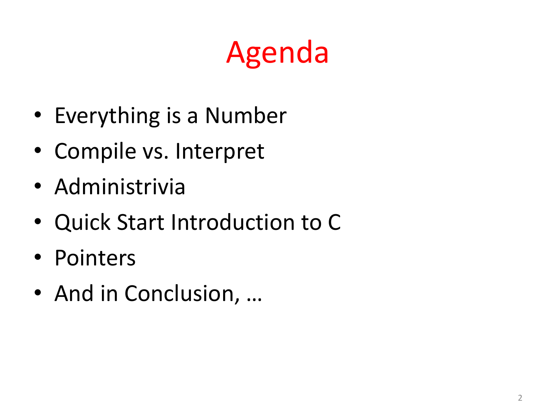## Agenda

- Everything is a Number
- Compile vs. Interpret
- Administrivia
- Quick Start Introduction to C
- Pointers
- And in Conclusion, ...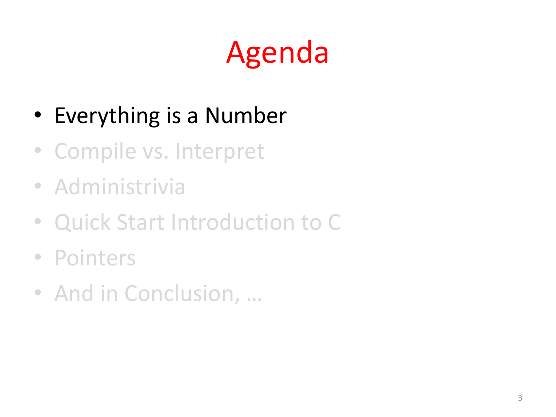# Agenda

- Everything is a Number
- Compile vs. Interpret
- Administrivia
- Quick Start Introduction to C
- Pointers
- And in Conclusion, ...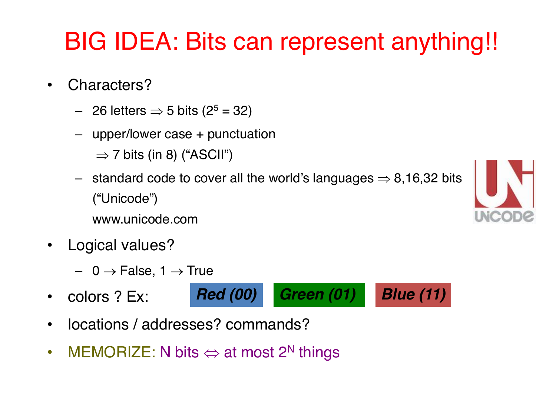#### BIG IDEA: Bits can represent anything!!

- Characters?
	- 26 letters  $\Rightarrow$  5 bits (2<sup>5</sup> = 32)
	- upper/lower case + punctuation
		- $\Rightarrow$  7 bits (in 8) ("ASCII")
	- standard code to cover all the world's languages  $\Rightarrow$  8,16,32 bits ("Unicode")
		- www.unicode.com
- Logical values?
	- $-$  0  $\rightarrow$  False, 1  $\rightarrow$  True
- colors ? Ex:



- locations / addresses? commands?
- MEMORIZE: N bits  $\Leftrightarrow$  at most 2<sup>N</sup> things

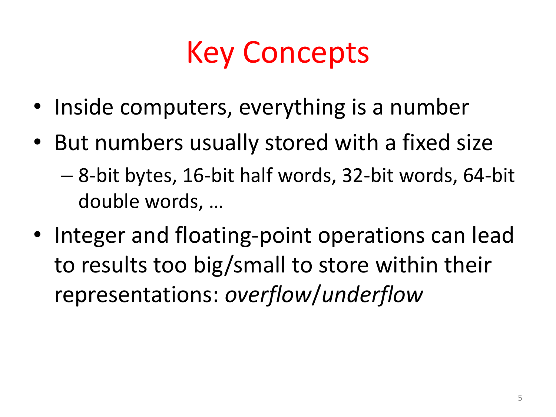#### Key Concepts

- Inside computers, everything is a number
- But numbers usually stored with a fixed size – 8-bit bytes, 16-bit half words, 32-bit words, 64-bit double words, ...
- Integer and floating-point operations can lead to results too big/small to store within their representations: *overflow*/*underflow*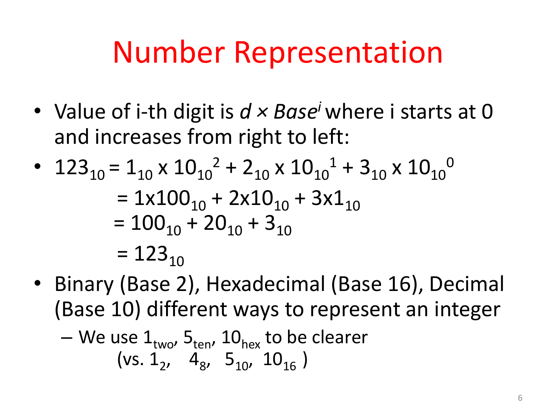#### Number Representation

• Value of i-th digit is  $d \times Base^i$  where i starts at 0 and increases from right to left:

• 
$$
123_{10} = 1_{10} \times 10_{10}^2 + 2_{10} \times 10_{10}^1 + 3_{10} \times 10_{10}^0
$$
  
=  $1 \times 100_{10} + 2 \times 10_{10} + 3 \times 1_{10}$   
=  $100_{10} + 20_{10} + 3_{10}$   
=  $123_{10}$ 

• Binary (Base 2), Hexadecimal (Base 16), Decimal (Base 10) different ways to represent an integer

- We use 
$$
1_{\text{two}}
$$
,  $5_{\text{ten}}$ ,  $10_{\text{hex}}$  to be clearer  
(vs.  $1_2$ ,  $4_8$ ,  $5_{10}$ ,  $10_{16}$ )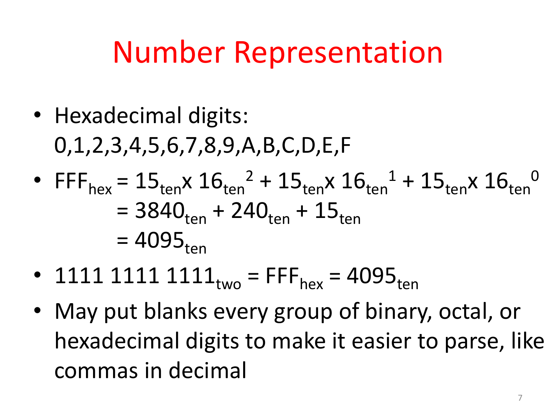#### Number Representation

- Hexadecimal digits: 0,1,2,3,4,5,6,7,8,9,A,B,C,D,E,F
- FFF<sub>hex</sub> =  $15_{ten}$ x  $16_{ten}$ <sup>2</sup> +  $15_{ten}$ x  $16_{ten}$ <sup>1</sup> +  $15_{ten}$ x  $16_{ten}$ <sup>0</sup>  $= 3840_{ten} + 240_{ten} + 15_{ten}$  $= 4095_{\text{ten}}$
- 1111 1111  $1111_{two}$  = FFF<sub>hex</sub> = 4095<sub>ten</sub>
- May put blanks every group of binary, octal, or hexadecimal digits to make it easier to parse, like commas in decimal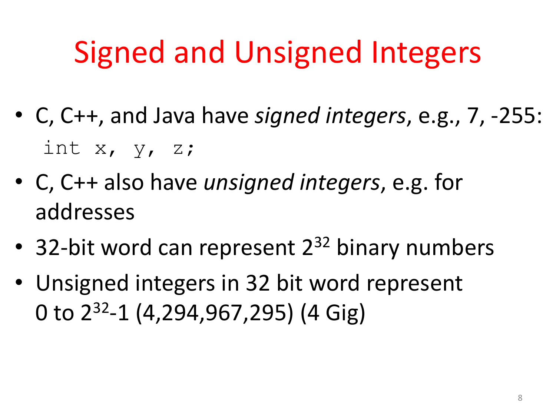## Signed and Unsigned Integers

- C, C++, and Java have *signed integers*, e.g., 7, -255: int  $x$ ,  $y$ ,  $z$ ;
- C, C++ also have *unsigned integers*, e.g. for addresses
- 32-bit word can represent  $2^{32}$  binary numbers
- Unsigned integers in 32 bit word represent 0 to  $2^{32}$ -1 (4,294,967,295) (4 Gig)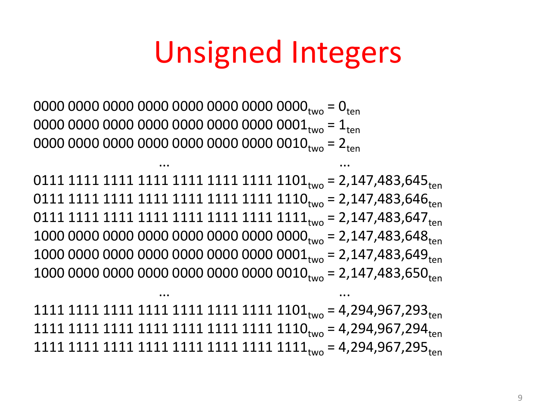#### Unsigned Integers

0000 0000 0000 0000 00000 00000 0000 $_{\text{two}}$  =  $0_{\text{ten}}$ 0000 0000 0000 0000 0000 0000 0000 0001two = 1ten 0000 0000 0000 0000 0000 0000 0000 0010two = 2ten

0111 1111 1111 1111 1111 1111 1111 1101<sub>two</sub> = 2,147,483,645<sub>ten</sub> 0111 1111 1111 1111 1111 1111 1111 1110two = 2,147,483,646ten 0111 1111 1111 1111 1111 1111 1111 1111two = 2,147,483,647ten 1000 0000 0000 0000 0000 0000 0000 0000two = 2,147,483,648ten 1000 0000 0000 0000 0000 0000 0000 0001two = 2,147,483,649ten 1000 0000 0000 0000 0000 0000 0000 0010<sub>two</sub> = 2,147,483,650<sub>ten</sub>

... ...

1111 1111 1111 1111 1111 1111 1111 1101two = 4,294,967,293ten 1111 1111 1111 1111 1111 1111 1111 1110two = 4,294,967,294ten 1111 1111 1111 1111 1111 1111 1111 1111two = 4,294,967,295ten

... ...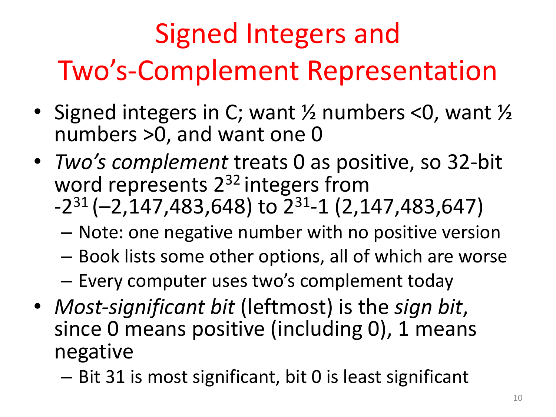## Signed Integers and Two's-Complement Representation

- Signed integers in C; want  $\frac{1}{2}$  numbers <0, want  $\frac{1}{2}$ numbers >0, and want one 0
- *Two's complement* treats 0 as positive, so 32-bit word represents  $2^{32}$  integers from  $-2^{31}$  (-2,147,483,648) to  $2^{31}$ -1 (2,147,483,647)
	- Note: one negative number with no positive version
	- $-$  Book lists some other options, all of which are worse

- Every computer uses two's complement today

- *Most-significant bit* (leftmost) is the *sign bit*, since 0 means positive (including 0), 1 means negative
	- Bit 31 is most significant, bit 0 is least significant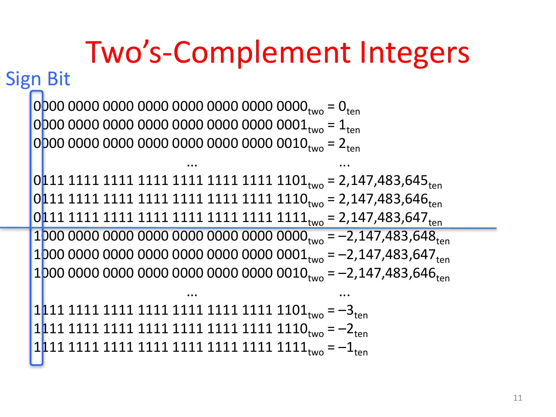#### Two's-Complement Integers 0000 0000 0000 0000 0000 0000 0000 0000two = 0ten 0000 0000 0000 0000 0000 0000 0000 0001two = 1ten  $0000000000000000000000000000000010_{two} = 2_{ten}$ ... ... 0111 1111 1111 1111 1111 1111 1111 1101<sub>two</sub> = 2,147,483,645<sub>ten</sub> 0111 1111 1111 1111 1111 1111 1111 1110two = 2,147,483,646ten 0111 1111 1111 1111 1111 1111 1111 1111two = 2,147,483,647ten 1000 0000 0000 0000 0000 0000 0000 0000two = –2,147,483,648ten 1000 0000 0000 0000 0000 0000 0000 0001two = –2,147,483,647ten  $1000\ 0000\ 0000\ 0000\ 0000\ 0000\ 0000\ 0010_{two} = -2,147,483,646_{ton}$ ... ...  $1111111111111111111111111111101_{two} = -3_{ten}$ 1111 1111 1111 1111 1111 1111 1111 1110two = –2ten  $1111111111111111111111111111111_{two} = -1$ **Sign Bit**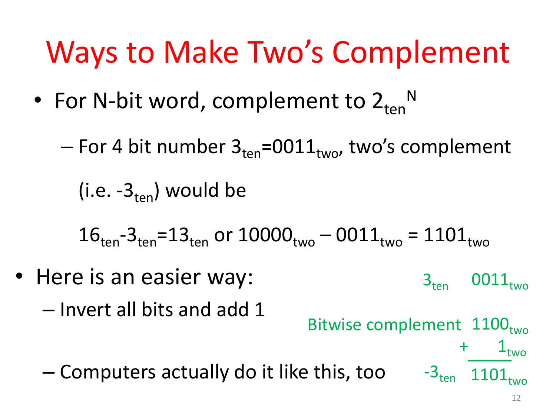## Ways to Make Two's Complement

- For N-bit word, complement to  $2_{ten}$ <sup>N</sup>
	- For 4 bit number  $3_{\text{ten}}$ =0011 $_{\text{two}}$ , two's complement

(i.e.  $-3_{\text{ten}}$ ) would be

 $16_{\text{ten}}-3_{\text{ten}}=13_{\text{ten}}$  or  $10000_{\text{two}} - 0011_{\text{two}} = 1101_{\text{two}}$ 

• Here is an easier way:  $-$  Invert all bits and add 1 – Computers actually do it like this, too  $3_{ten}$  0011 $_{two}$ Bitwise complement 1100<sub>two</sub>  $\mathbf{1}_{\text{two}}$  $-3$ <sub>ten</sub> 1101<sub>two</sub>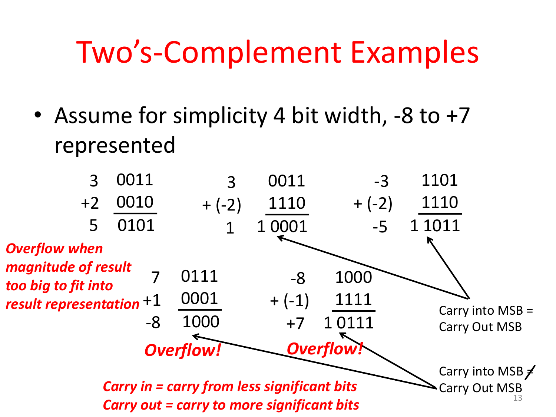#### Two's-Complement Examples

• Assume for simplicity 4 bit width,  $-8$  to  $+7$ represented

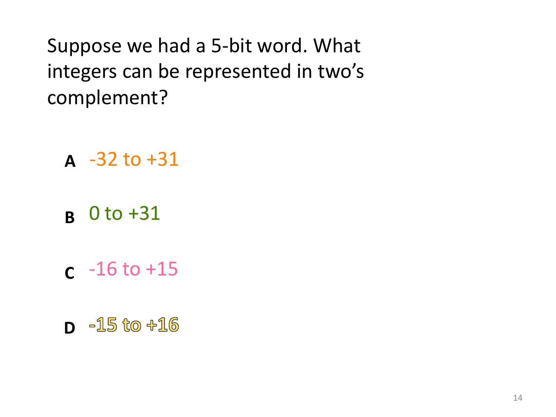Suppose we had a 5-bit word. What integers can be represented in two's complement?

- $A -32 \text{ to } +31$
- 0 to +31 **B**
- $c 16$  to  $+15$
- **D** -15 to +16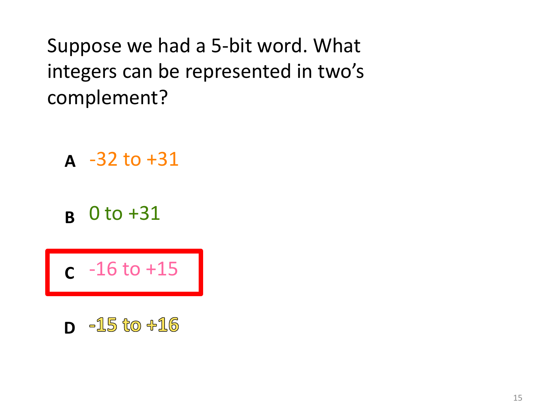Suppose we had a 5-bit word. What integers can be represented in two's complement?

 $A -32 \text{ to } +31$ 

0 to +31 **B**

 $c - 16$  to  $+15$ 

**D** -15 to +16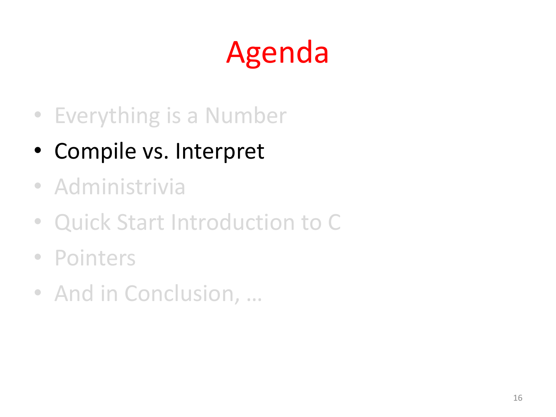# Agenda

- Everything is a Number
- Compile vs. Interpret
- Administrivia
- Quick Start Introduction to C
- Pointers
- And in Conclusion, ...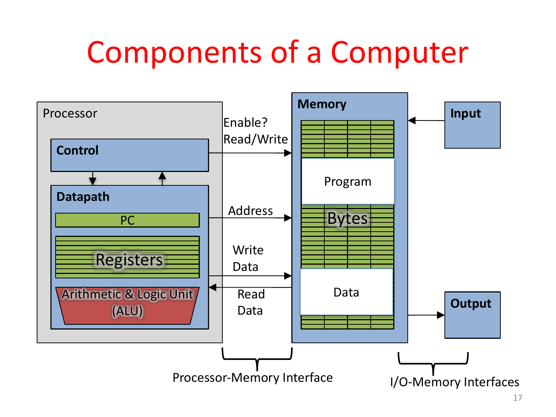#### Components of a Computer

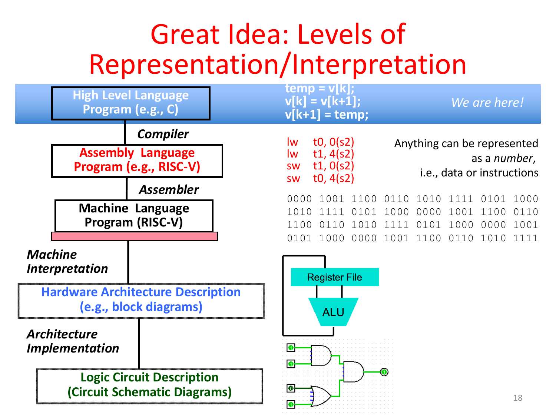#### Great Idea: Levels of Representation/Interpretation

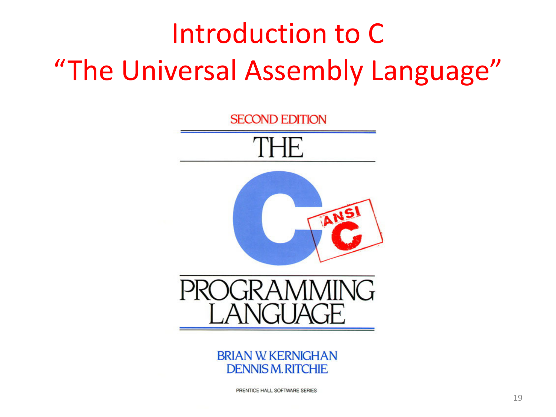#### Introduction to C "The Universal Assembly Language"





PRENTICE HALL SOFTWARE SERIES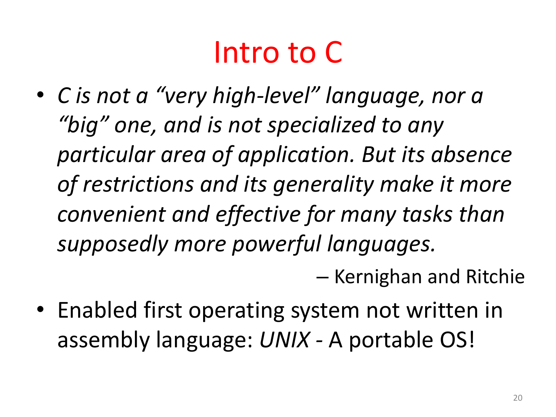#### Intro to C

• *C* is not a "very high-level" language, nor a "big" one, and is not specialized to any particular area of application. But its absence of restrictions and its generality make it more *convenient and effective for many tasks than supposedly more powerful languages.*

– Kernighan and Ritchie

• Enabled first operating system not written in assembly language: *UNIX* - A portable OS!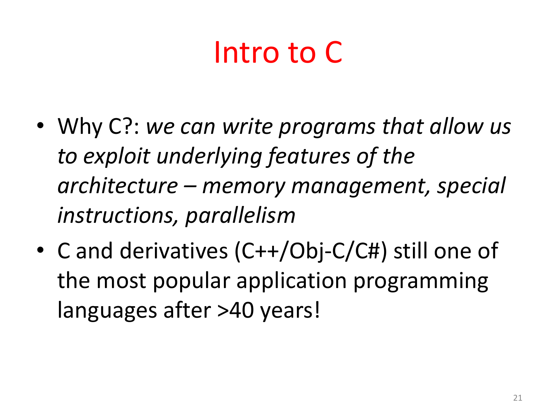## Intro to C

- Why C?: we can write programs that allow us to exploit underlying features of the *architecture – memory management, special instructions, parallelism*
- C and derivatives (C++/Obj-C/C#) still one of the most popular application programming languages after >40 years!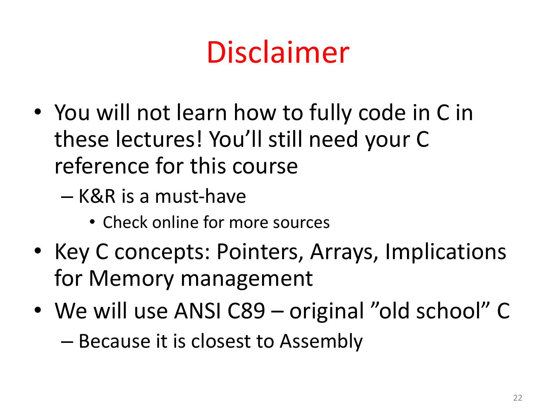## Disclaimer

- You will not learn how to fully code in C in these lectures! You'll still need your C reference for this course
	- K&R is a must-have
		- Check online for more sources
- Key C concepts: Pointers, Arrays, Implications for Memory management
- We will use ANSI C89 original "old school" C – Because it is closest to Assembly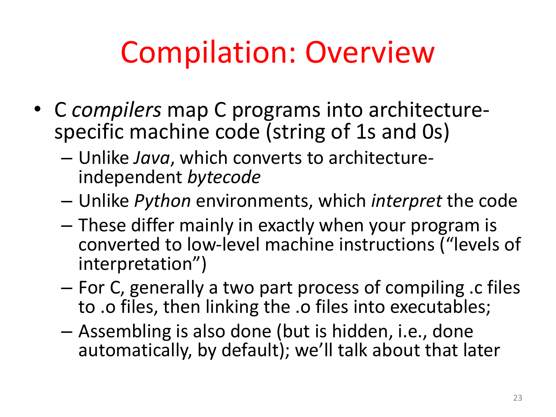#### Compilation: Overview

- C *compilers* map C programs into architecture-<br>specific machine code (string of 1s and 0s)
	- Unlike *Java*, which converts to architecture- independent *bytecode*
	- $-$  Unlike *Python* environments, which *interpret* the code
	- $-$  These differ mainly in exactly when your program is converted to low-level machine instructions ("levels of interpretation")
	- For C, generally a two part process of compiling .c files to .o files, then linking the .o files into executables;
	- $-$  Assembling is also done (but is hidden, i.e., done automatically, by default); we'll talk about that later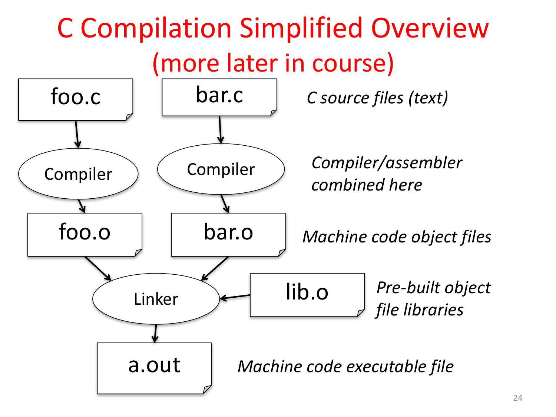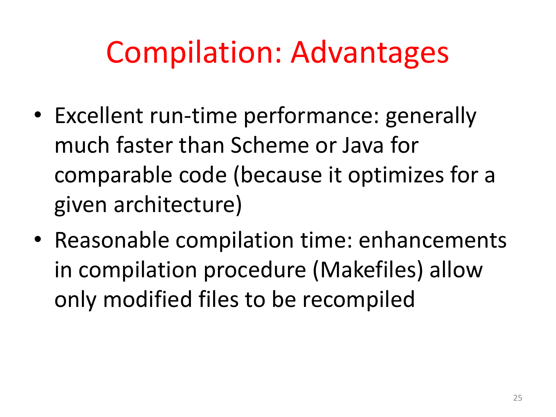#### **Compilation: Advantages**

- Excellent run-time performance: generally much faster than Scheme or Java for comparable code (because it optimizes for a given architecture)
- Reasonable compilation time: enhancements in compilation procedure (Makefiles) allow only modified files to be recompiled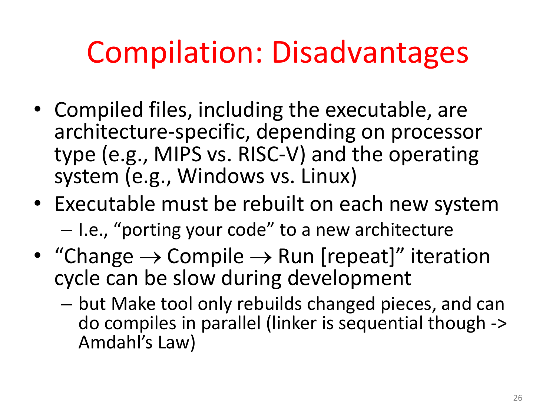#### Compilation: Disadvantages

- Compiled files, including the executable, are architecture-specific, depending on processor type (e.g., MIPS vs. RISC-V) and the operating system (e.g., Windows vs. Linux)
- Executable must be rebuilt on each new system  $-$  I.e., "porting your code" to a new architecture
- "Change  $\rightarrow$  Compile  $\rightarrow$  Run [repeat]" iteration cycle can be slow during development
	- $-$  but Make tool only rebuilds changed pieces, and can do compiles in parallel (linker is sequential though -> Amdahl's Law)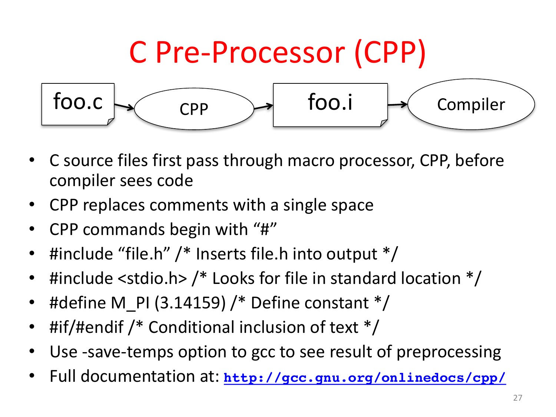

- C source files first pass through macro processor, CPP, before compiler sees code
- CPP replaces comments with a single space
- CPP commands begin with "#"
- #include "file.h"  $/*$  Inserts file.h into output  $*/$
- #include <stdio.h>  $/*$  Looks for file in standard location  $*/$
- #define M PI (3.14159) /\* Define constant  $*/$
- #if/#endif /\* Conditional inclusion of text  $*/$
- Use -save-temps option to gcc to see result of preprocessing
- Full documentation at: http://gcc.gnu.org/onlinedocs/cpp/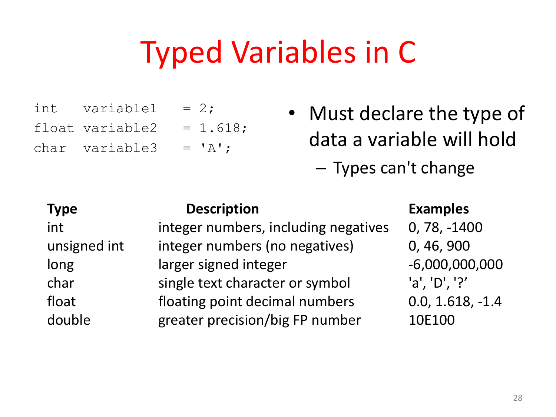#### **Typed Variables in C**

| int variable1 = $2$ ;        |  |
|------------------------------|--|
| float variable $2 = 1.618$ ; |  |
| char variable3 = $'A$ ';     |  |

• Must declare the type of data a variable will hold

- Types can't change

| <b>Type</b>  | <b>Description</b>                   | <b>Examples</b>    |
|--------------|--------------------------------------|--------------------|
| int          | integer numbers, including negatives | $0, 78, -1400$     |
| unsigned int | integer numbers (no negatives)       | 0, 46, 900         |
| long         | larger signed integer                | $-6,000,000,000$   |
| char         | single text character or symbol      | 'a', 'D', '?'      |
| float        | floating point decimal numbers       | $0.0, 1.618, -1.4$ |
| double       | greater precision/big FP number      | 10E100             |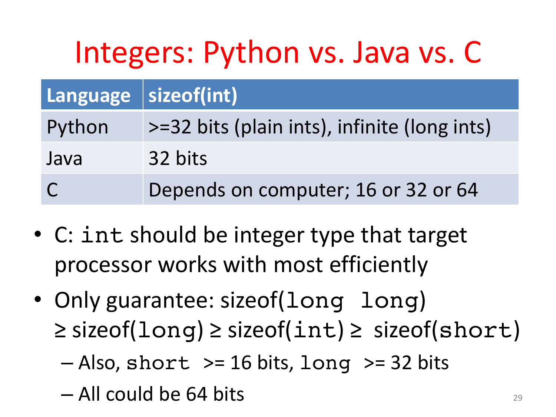## Integers: Python vs. Java vs. C

| Language sizeof(int) |                                              |
|----------------------|----------------------------------------------|
| Python               | >=32 bits (plain ints), infinite (long ints) |
| Java                 | 32 bits                                      |
| $\overline{C}$       | Depends on computer; 16 or 32 or 64          |

- C: int should be integer type that target processor works with most efficiently
- Only guarantee: sizeof(long long)  $\ge$  sizeof(long)  $\ge$  sizeof(int)  $\ge$  sizeof(short)
	- $-$  Also, short  $>=$  16 bits, long  $>=$  32 bits
	- $-$  All could be 64 bits  $\frac{1}{29}$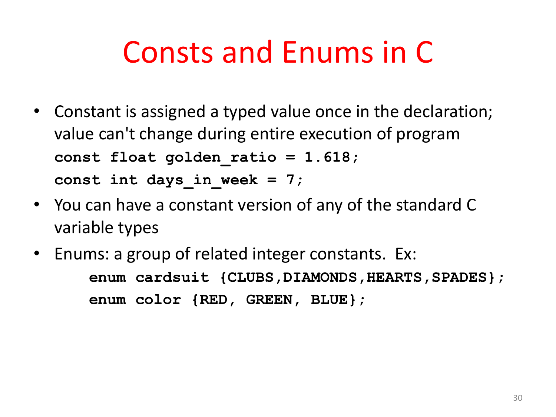#### Consts and Enums in C

- Constant is assigned a typed value once in the declaration; value can't change during entire execution of program **const float golden\_ratio = 1.618;** const int days in week  $= 7$ ;
- You can have a constant version of any of the standard C variable types
- Enums: a group of related integer constants. Ex: **enum** cardsuit {CLUBS, DIAMONDS, HEARTS, SPADES}; **enum color {RED, GREEN, BLUE};**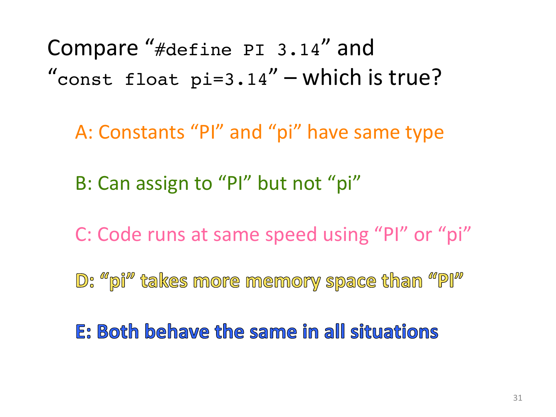Compare "#define PI 3.14" and "const float  $pi=3.14"$  – which is true?

A: Constants "PI" and "pi" have same type

B: Can assign to "PI" but not "pi"

C: Code runs at same speed using "PI" or "pi"

D: "pi" takes more memory space than "PI"

E: Both behave the same in all situations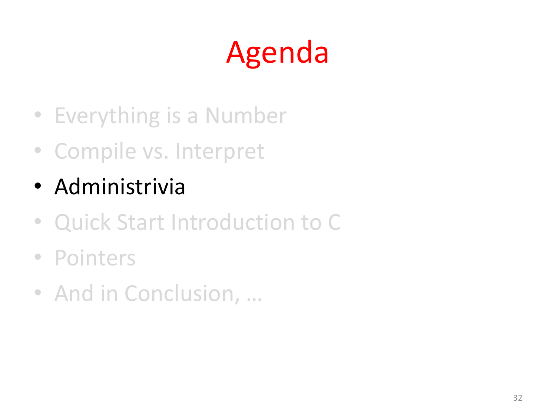# Agenda

- Everything is a Number
- Compile vs. Interpret
- Administrivia
- Quick Start Introduction to C
- Pointers
- And in Conclusion, ...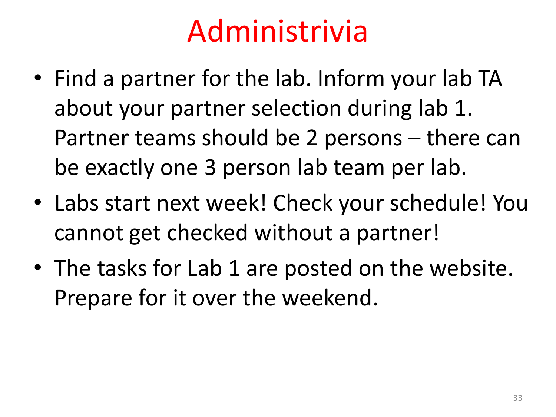#### Administrivia

- Find a partner for the lab. Inform your lab TA about your partner selection during lab 1. Partner teams should be 2 persons – there can be exactly one 3 person lab team per lab.
- Labs start next week! Check your schedule! You cannot get checked without a partner!
- The tasks for Lab 1 are posted on the website. Prepare for it over the weekend.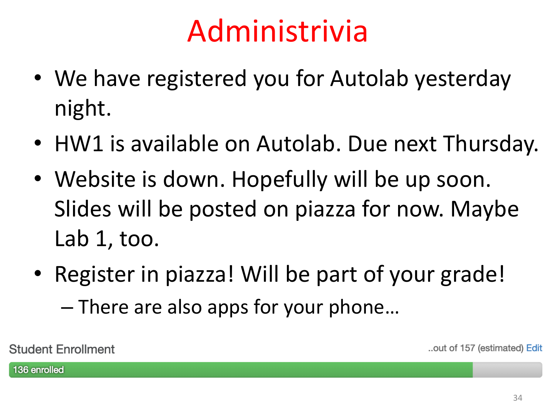#### Administrivia

- We have registered you for Autolab yesterday night.
- HW1 is available on Autolab. Due next Thursday.
- Website is down. Hopefully will be up soon. Slides will be posted on piazza for now. Maybe Lab  $1$ , too.
- Register in piazza! Will be part of your grade!  $-$  There are also apps for your phone...

**Student Enrollment** 

..out of 157 (estimated) Edit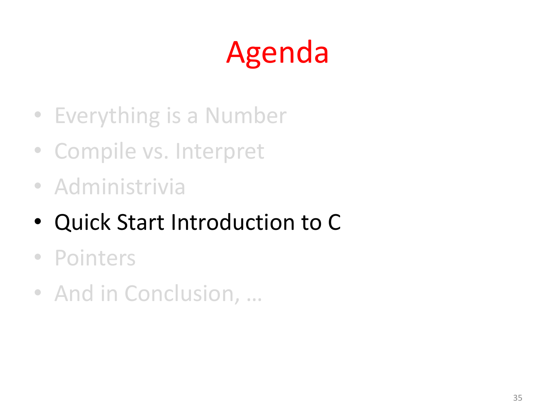# Agenda

- Everything is a Number
- Compile vs. Interpret
- Administrivia
- Quick Start Introduction to C
- Pointers
- And in Conclusion, ...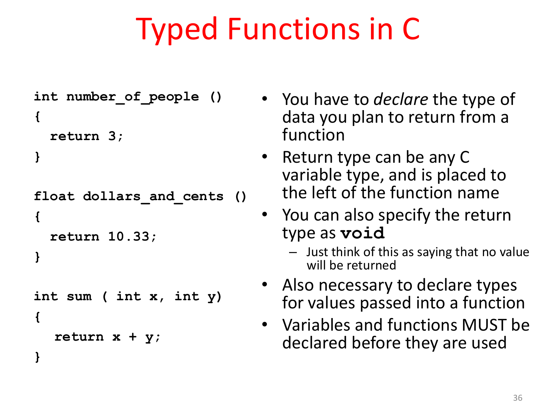## Typed Functions in C

```
int number_of_people ()
{
  return 3;
```

```
}
```
**{**

**}**

```
float dollars_and_cents ()
```

```
return 10.33;
```

```
}
```

```
int sum ( int x, int y)
{
```

```
return x + y;
```
- You have to *declare* the type of data you plan to return from a function
- Return type can be any C variable type, and is placed to the left of the function name
- You can also specify the return type as **void**
	- $-$  Just think of this as saying that no value will be returned
- Also necessary to declare types for values passed into a function
- Variables and functions MUST be declared before they are used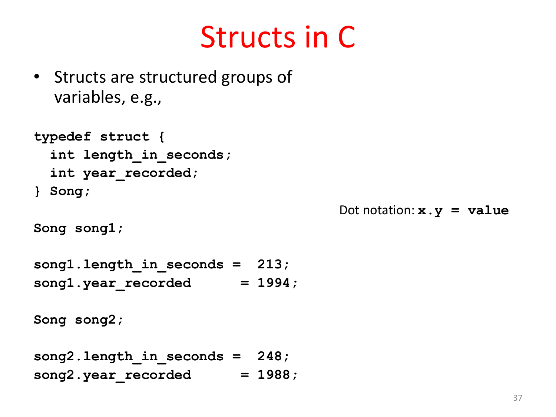#### Structs in C

• Structs are structured groups of variables, e.g.,

```
typedef struct {
  int length_in_seconds;
  int year_recorded;
} Song;
```
Dot notation:  $x \cdot y = y$  alue

```
Song song1;
```

```
song1.length_in_seconds = 213;
song1.year recorded = 1994;
```

```
Song song2;
```

```
song2.length_in_seconds = 248;
song2.year recorded = 1988;
```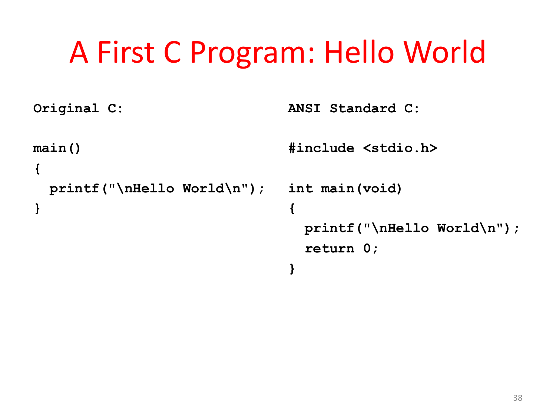#### A First C Program: Hello World

```
Original C:
main()
{
  printf("\nHello World\n");
}
                                ANSI Standard C:
                                #include <stdio.h>
                                int main(void)
                                 {
                                  printf("\nHello World\n");
                                   return 0;
                                 }
```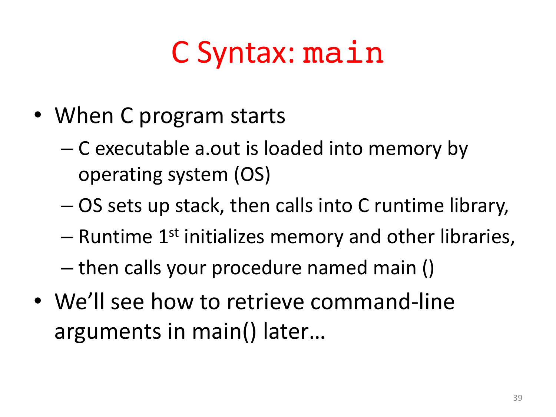## C Syntax: main

- When C program starts
	- C executable a.out is loaded into memory by operating system (OS)
	- $-$  OS sets up stack, then calls into C runtime library,
	- $-$  Runtime 1<sup>st</sup> initializes memory and other libraries,
	- $-$  then calls your procedure named main ()
- We'll see how to retrieve command-line arguments in main() later...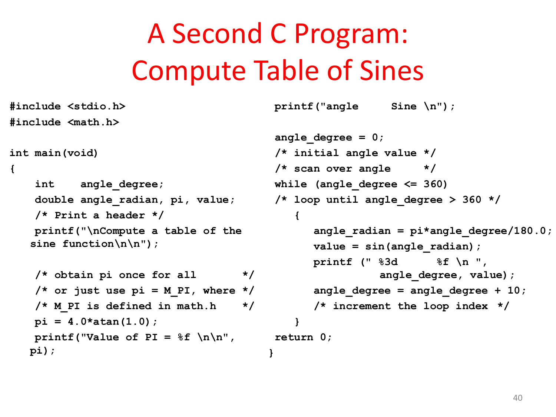#### A Second C Program: Compute Table of Sines

```
#include <stdio.h>
#include <math.h>
int main(void)
{
    int angle_degree;
    double angle_radian, pi, value;
    /* Print a header */
    printf("\nCompute a table of the 
   sine function\n\n");
    /* obtain pi once for all */
    /* or just use pi = MPI, where *//* M_PI is defined in math.h */
   pi = 4.0*atan(1.0);
   printf("Value of PI = f(\ln \ln \frac{n}{n})pi);
                                         printf("angle Sine \n");
                                         angle_degree = 0;
                                         /* initial angle value */
                                         /* scan over angle */
                                         while (angle_degree <= 360)
                                            {
                                            }
                                         return 0;
                                        }
```

```
/* loop until angle_degree > 360 */
      angle_radian = pi*angle_degree/180.0;
      value = sin(angle_radian);
      printf (" %3d %f \n ", 
                angle_degree, value);
      angle_degree = angle_degree + 10; 
      /* increment the loop index */
```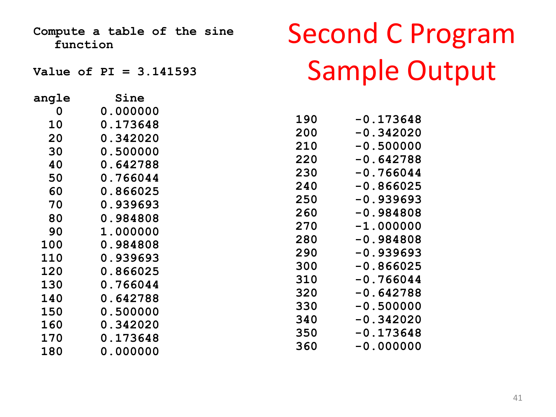**Compute a table of the sine function**

**Value of PI = 3.141593** 

| angle      | Sine            |
|------------|-----------------|
| 0          | 0.000000        |
| 10         | <b>0.173648</b> |
| 20         | <b>0.342020</b> |
| 30         | 0.500000        |
| 40         | 0.642788        |
| 50         | <b>0.766044</b> |
| 60         | <b>0.866025</b> |
| 70         | 0.939693        |
| 80         | 0.984808        |
| 90         | 1.000000        |
| 100        | 0.984808        |
| <b>110</b> | 0.939693        |
| 120        | <b>0.866025</b> |
| 130        | <b>0.766044</b> |
| <b>140</b> | 0.642788        |
| 150        | 0.500000        |
| <b>160</b> | 0.342020        |
| <b>170</b> | 0.173648        |
| <b>180</b> | <b>0.000000</b> |

#### Second C Program Sample Output

| 190 | -0.173648                  |
|-----|----------------------------|
| 200 | 0.342020<br>$\blacksquare$ |
| 210 | 0.500000<br>$\blacksquare$ |
| 220 | 0.642788<br>$\blacksquare$ |
| 230 | $-0.766044$                |
| 240 | $-0.866025$                |
| 250 | -0.939693                  |
| 260 | $-0.984808$                |
| 270 | $-1.000000$                |
| 280 | -0.984808                  |
| 290 | -0.939693                  |
| 300 | -0.866025                  |
| 310 | -0.766044                  |
| 320 | $-0.642788$                |
| 330 | $-0.500000$                |
| 340 | $-0.342020$                |
| 350 | $-0.173648$                |
| 360 | $-0.000000$                |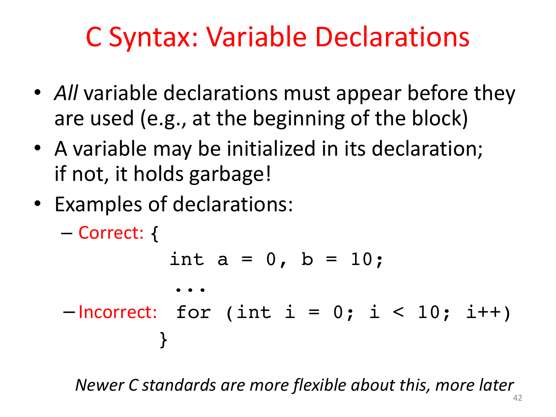#### C Syntax: Variable Declarations

- All variable declarations must appear before they are used (e.g., at the beginning of the block)
- A variable may be initialized in its declaration; if not, it holds garbage!
- Examples of declarations:

```
– Correct: {
          int a = 0, b = 10;
          ...
-Incorrect: for (int i = 0; i < 10; i++)}
```
*Newer C standards are more flexible about this, more later*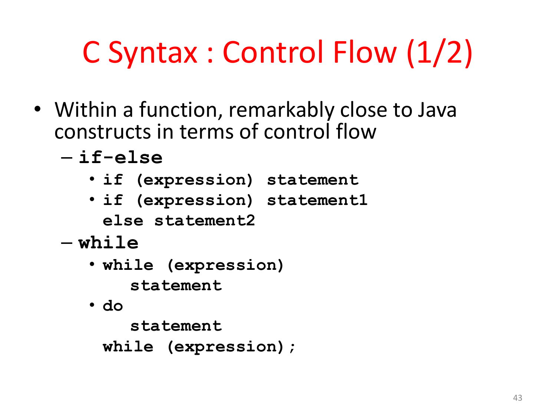# C Syntax : Control Flow (1/2)

- Within a function, remarkably close to Java constructs in terms of control flow
	- **if-else**
		- **if (expression) statement**
		- **if (expression) statement1 else statement2**
	- **while**
		- **while (expression) statement**
		- **do**

**statement**

**while (expression);**